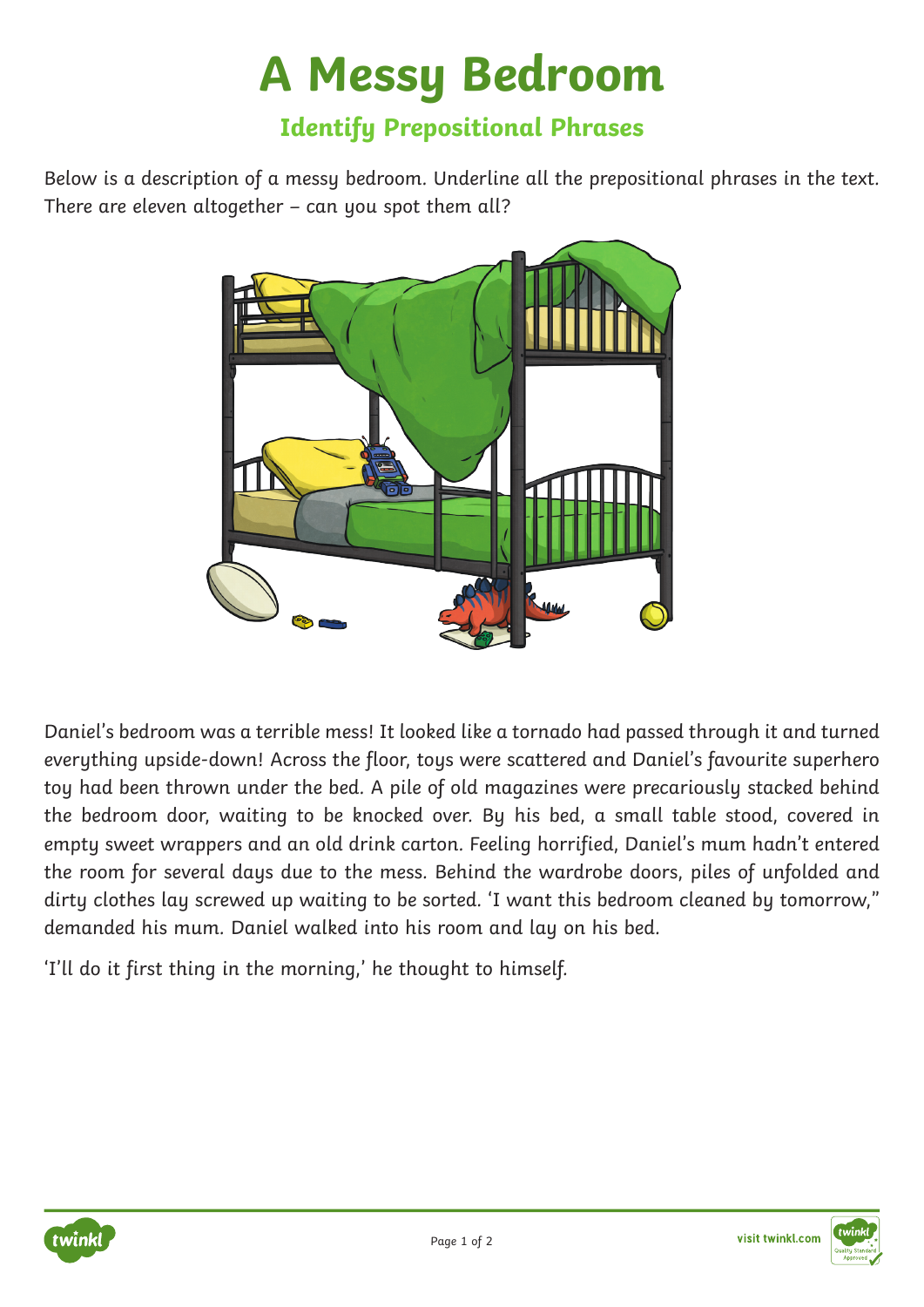## **A Messy Bedroom**

## **Identify Prepositional Phrases**

Below is a description of a messy bedroom. Underline all the prepositional phrases in the text. There are eleven altogether – can you spot them all?



Daniel's bedroom was a terrible mess! It looked like a tornado had passed through it and turned everything upside-down! Across the floor, toys were scattered and Daniel's favourite superhero toy had been thrown under the bed. A pile of old magazines were precariously stacked behind the bedroom door, waiting to be knocked over. By his bed, a small table stood, covered in empty sweet wrappers and an old drink carton. Feeling horrified, Daniel's mum hadn't entered the room for several days due to the mess. Behind the wardrobe doors, piles of unfolded and dirty clothes lay screwed up waiting to be sorted. 'I want this bedroom cleaned by tomorrow," demanded his mum. Daniel walked into his room and lay on his bed.

'I'll do it first thing in the morning,' he thought to himself.



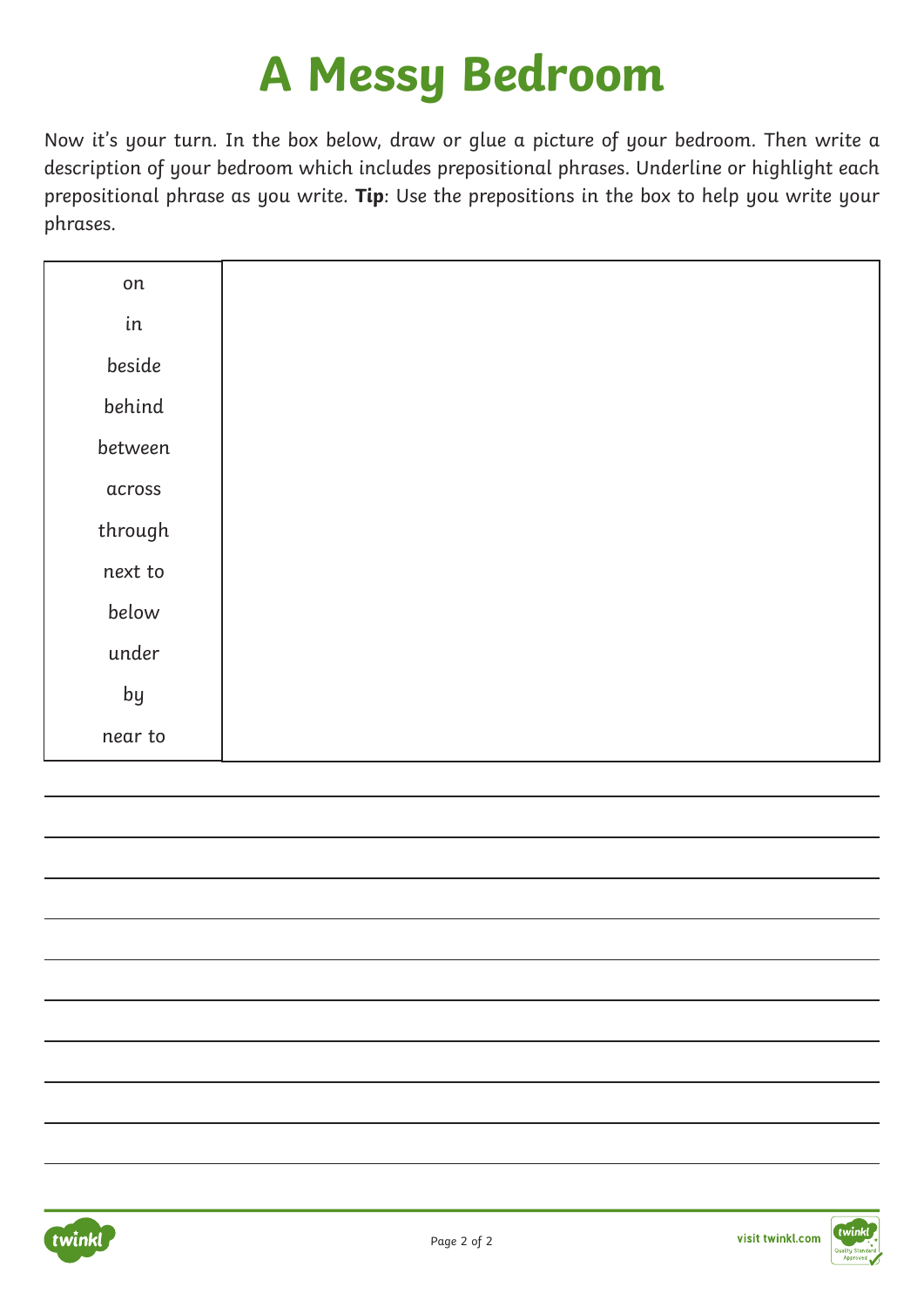## **A Messy Bedroom**

Now it's your turn. In the box below, draw or glue a picture of your bedroom. Then write a description of your bedroom which includes prepositional phrases. Underline or highlight each prepositional phrase as you write. **Tip**: Use the prepositions in the box to help you write your phrases.

| on      |
|---------|
| in      |
| beside  |
| behind  |
| between |
| across  |
| through |
| next to |
| below   |
| under   |
| by      |
| near to |



visit twinkl.com